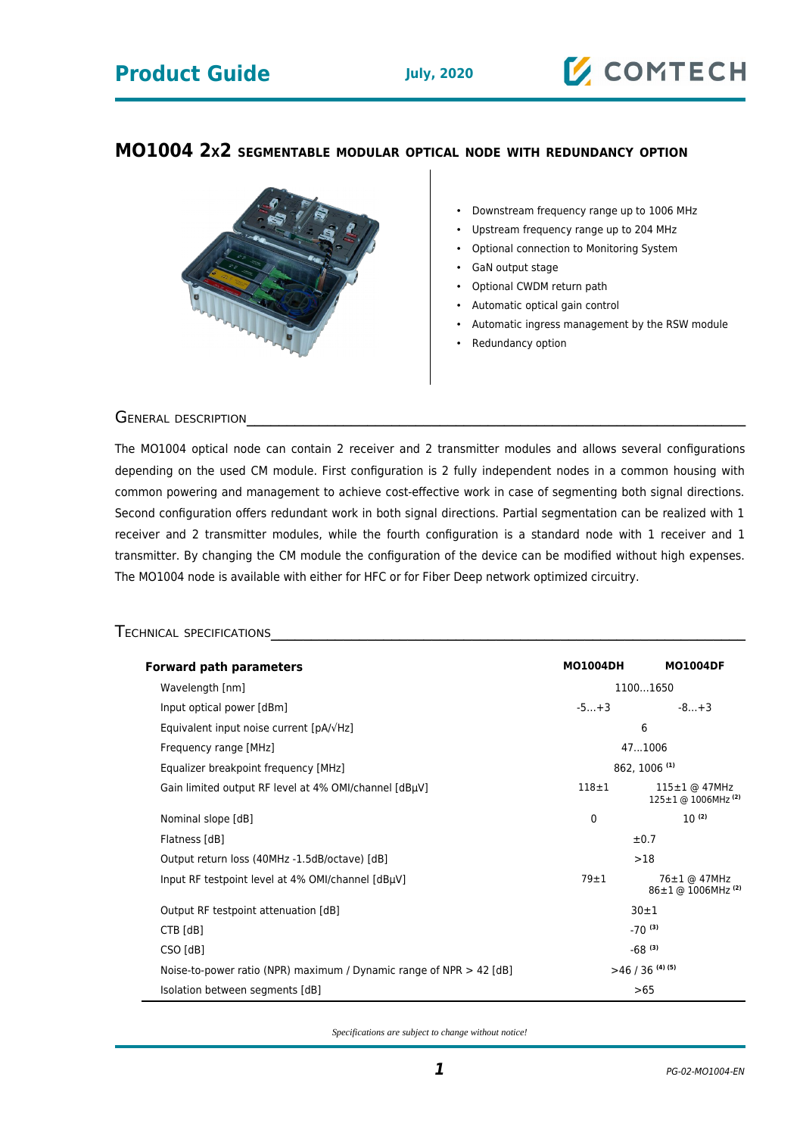# **Product Guide July, 2020**

### **MO1004 2X2 SEGMENTABLE MODULAR OPTICAL NODE WITH REDUNDANCY OPTION**



- Downstream frequency range up to 1006 MHz
- Upstream frequency range up to 204 MHz
- Optional connection to Monitoring System
- GaN output stage
- Optional CWDM return path
- Automatic optical gain control
- Automatic ingress management by the RSW module
- Redundancy option

GENERAL DESCRIPTION

The MO1004 optical node can contain 2 receiver and 2 transmitter modules and allows several configurations depending on the used CM module. First configuration is 2 fully independent nodes in a common housing with common powering and management to achieve cost-effective work in case of segmenting both signal directions. Second configuration offers redundant work in both signal directions. Partial segmentation can be realized with 1 receiver and 2 transmitter modules, while the fourth configuration is a standard node with 1 receiver and 1 transmitter. By changing the CM module the configuration of the device can be modified without high expenses. The MO1004 node is available with either for HFC or for Fiber Deep network optimized circuitry.

#### TECHNICAL SPECIFICATIONS

| <b>Forward path parameters</b>                                        | <b>MO1004DH</b> | <b>MO1004DF</b>                                       |
|-----------------------------------------------------------------------|-----------------|-------------------------------------------------------|
| Wavelength [nm]                                                       | 11001650        |                                                       |
| Input optical power [dBm]                                             | $-5+3$          | $-8+3$                                                |
| Equivalent input noise current $[pA/\sqrt{Hz}]$                       | 6               |                                                       |
| Frequency range [MHz]                                                 | 471006          |                                                       |
| Equalizer breakpoint frequency [MHz]                                  | 862, 1006 (1)   |                                                       |
| Gain limited output RF level at 4% OMI/channel [dBµV]                 | $118 + 1$       | 115±1 @ 47MHz<br>$125 \pm 1$ @ 1006MHz <sup>(2)</sup> |
| Nominal slope [dB]                                                    | 0               | $10^{(2)}$                                            |
| Flatness [dB]                                                         | ±0.7            |                                                       |
| Output return loss (40MHz -1.5dB/octave) [dB]                         | >18             |                                                       |
| Input RF testpoint level at 4% OMI/channel [dBµV]                     | $79 + 1$        | 76±1 @ 47MHz<br>86±1 @ 1006MHz <sup>(2)</sup>         |
| Output RF testpoint attenuation [dB]                                  | $30 + 1$        |                                                       |
| $CTB$ [dB]                                                            | $-70^{(3)}$     |                                                       |
| CSO [dB]                                                              | $-68^{(3)}$     |                                                       |
| Noise-to-power ratio (NPR) maximum / Dynamic range of NPR $>$ 42 [dB] | $>46/36$ (4)(5) |                                                       |
| Isolation between segments [dB]                                       | >65             |                                                       |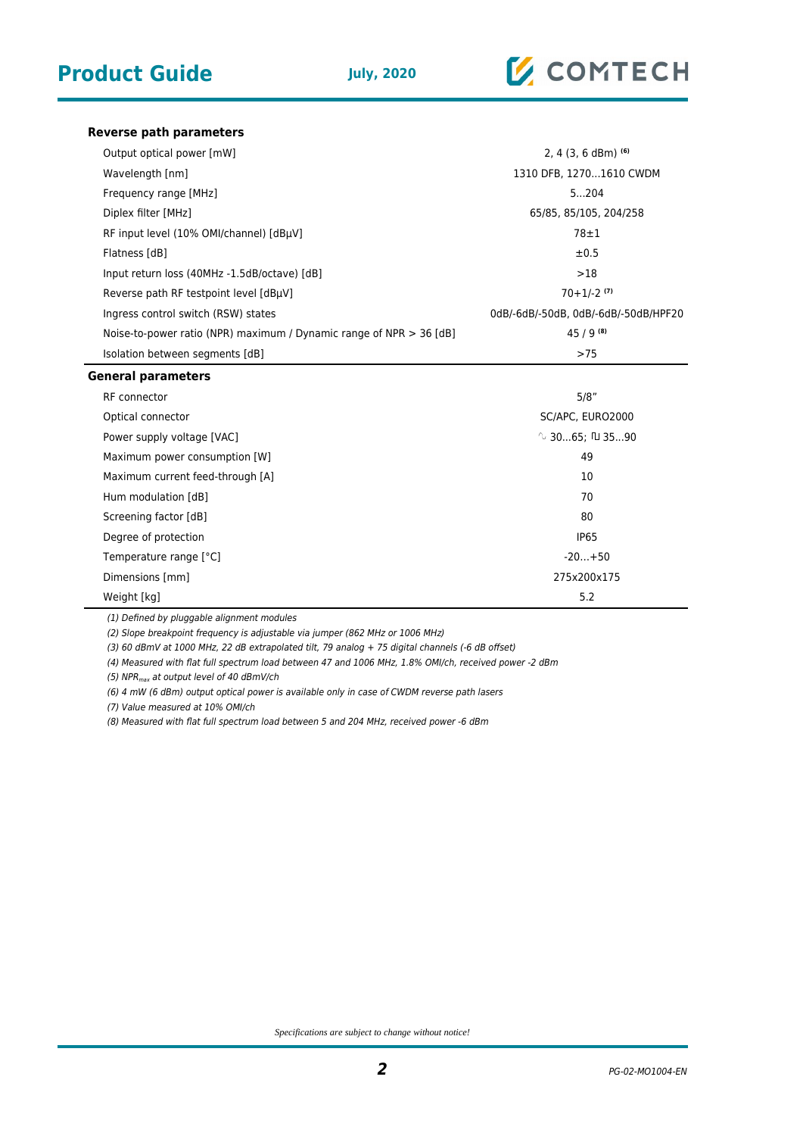

#### **Reverse path parameters**

| Output optical power [mW]                                             | 2, 4 $(3, 6$ dBm $)$ <sup>(6)</sup>  |  |
|-----------------------------------------------------------------------|--------------------------------------|--|
| Wavelength [nm]                                                       | 1310 DFB, 12701610 CWDM              |  |
| Frequency range [MHz]                                                 | 5204                                 |  |
| Diplex filter [MHz]                                                   | 65/85, 85/105, 204/258               |  |
| RF input level (10% OMI/channel) [dBµV]                               | $78 \pm 1$                           |  |
| Flatness [dB]                                                         | ±0.5                                 |  |
| Input return loss (40MHz -1.5dB/octave) [dB]                          | >18                                  |  |
| Reverse path RF testpoint level [dBµV]                                | $70+1/-2$ (7)                        |  |
| Ingress control switch (RSW) states                                   | 0dB/-6dB/-50dB, 0dB/-6dB/-50dB/HPF20 |  |
| Noise-to-power ratio (NPR) maximum / Dynamic range of NPR $>$ 36 [dB] | $45/9^{(8)}$                         |  |
| Isolation between segments [dB]                                       | >75                                  |  |
| <b>General parameters</b>                                             |                                      |  |
| RF connector                                                          | 5/8"                                 |  |
| Optical connector                                                     | SC/APC, EURO2000                     |  |
| Power supply voltage [VAC]                                            | $\sim$ 3065; $\Pi$ 3590              |  |
| Maximum power consumption [W]                                         | 49                                   |  |
| Maximum current food through [A]                                      | 1 N                                  |  |

Maximum current feed-through [A] 10 Hum modulation [dB] 70 Screening factor [dB] 80 Degree of protection and the control of the control of the control of the control of the control of the control of the control of the control of the control of the control of the control of the control of the control of th Temperature range [°C]  $\blacksquare$ Dimensions [mm] 275x200x175 Weight [kg] 5.2

(1) Defined by pluggable alignment modules

(2) Slope breakpoint frequency is adjustable via jumper (862 MHz or 1006 MHz)

(3) 60 dBmV at 1000 MHz, 22 dB extrapolated tilt, 79 analog + 75 digital channels (-6 dB offset)

(4) Measured with flat full spectrum load between 47 and 1006 MHz, 1.8% OMI/ch, received power -2 dBm

(5) NPR<sub>max</sub> at output level of 40 dBmV/ch

(6) 4 mW (6 dBm) output optical power is available only in case of CWDM reverse path lasers

(7) Value measured at 10% OMI/ch

(8) Measured with flat full spectrum load between 5 and 204 MHz, received power -6 dBm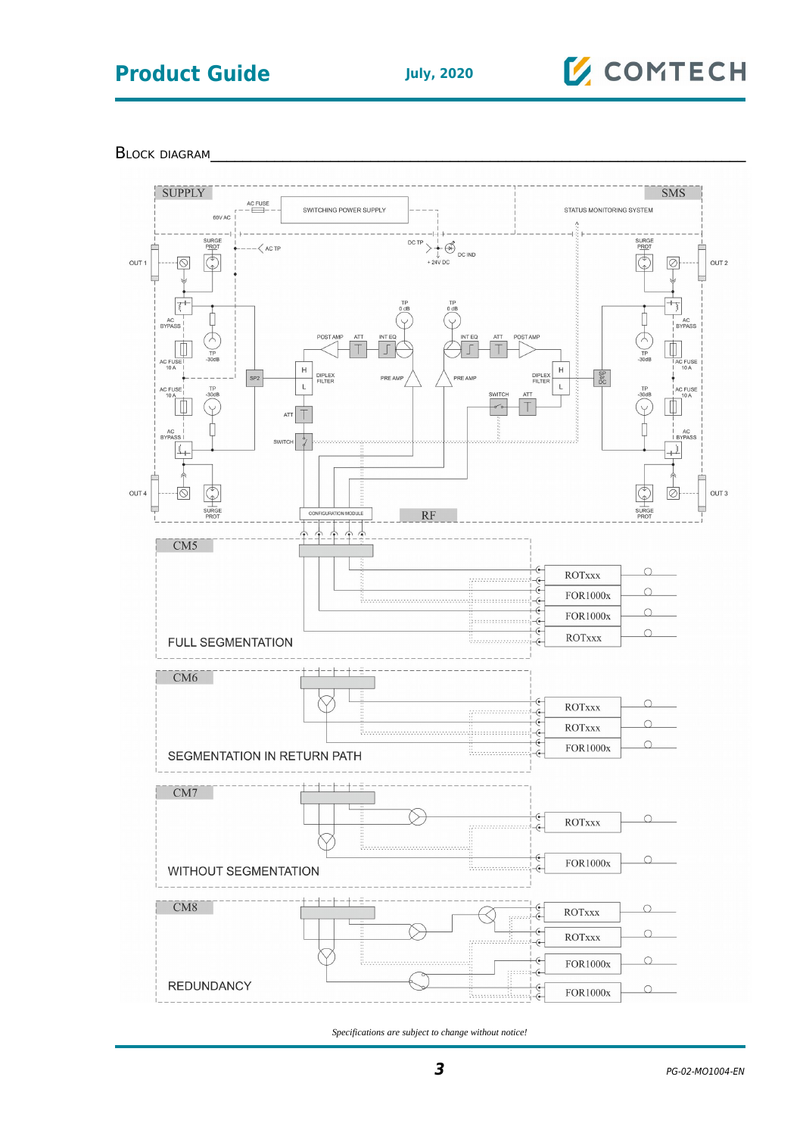# **Product Guide July, 2020**

# **Z** COMTECH

BLOCK DIAGRAM